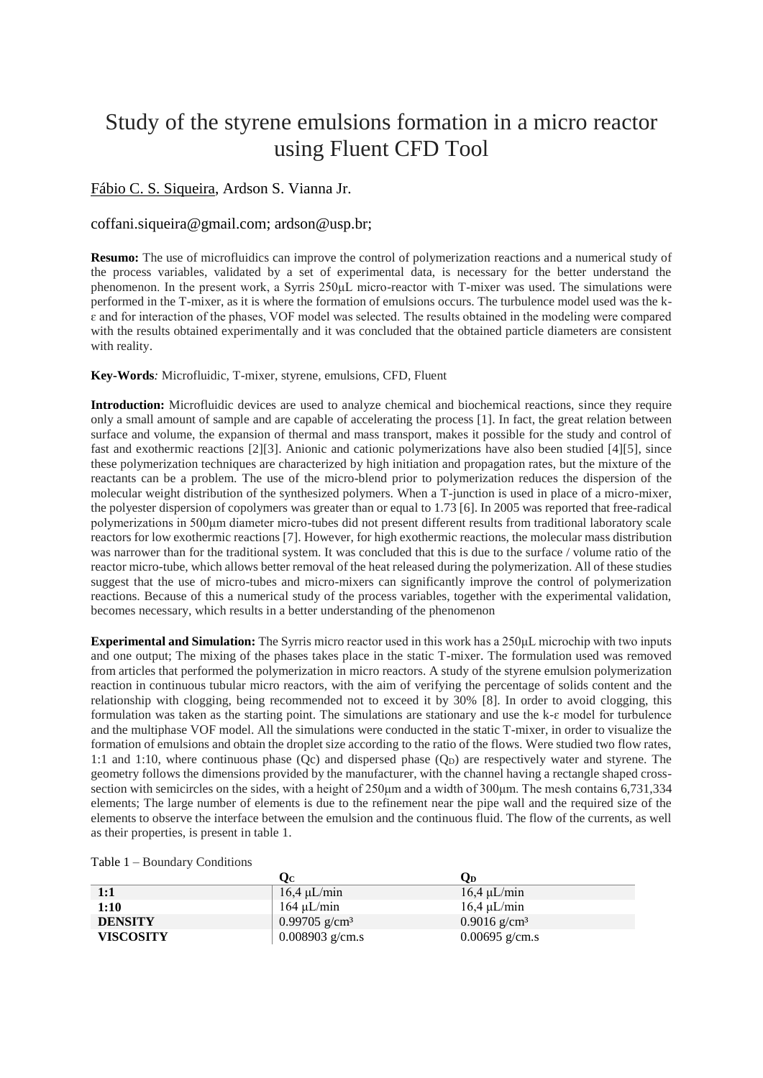## Study of the styrene emulsions formation in a micro reactor using Fluent CFD Tool

## Fábio C. S. Siqueira, Ardson S. Vianna Jr.

## coffani.siqueira@gmail.com; ardson@usp.br;

**Resumo:** The use of microfluidics can improve the control of polymerization reactions and a numerical study of the process variables, validated by a set of experimental data, is necessary for the better understand the phenomenon. In the present work, a Syrris 250μL micro-reactor with T-mixer was used. The simulations were performed in the T-mixer, as it is where the formation of emulsions occurs. The turbulence model used was the kɛ and for interaction of the phases, VOF model was selected. The results obtained in the modeling were compared with the results obtained experimentally and it was concluded that the obtained particle diameters are consistent with reality.

## **Key-Words***:* Microfluidic, T-mixer, styrene, emulsions, CFD, Fluent

**Introduction:** Microfluidic devices are used to analyze chemical and biochemical reactions, since they require only a small amount of sample and are capable of accelerating the process [1]. In fact, the great relation between surface and volume, the expansion of thermal and mass transport, makes it possible for the study and control of fast and exothermic reactions [2][3]. Anionic and cationic polymerizations have also been studied [4][5], since these polymerization techniques are characterized by high initiation and propagation rates, but the mixture of the reactants can be a problem. The use of the micro-blend prior to polymerization reduces the dispersion of the molecular weight distribution of the synthesized polymers. When a T-junction is used in place of a micro-mixer, the polyester dispersion of copolymers was greater than or equal to 1.73 [6]. In 2005 was reported that free-radical polymerizations in 500μm diameter micro-tubes did not present different results from traditional laboratory scale reactors for low exothermic reactions [7]. However, for high exothermic reactions, the molecular mass distribution was narrower than for the traditional system. It was concluded that this is due to the surface / volume ratio of the reactor micro-tube, which allows better removal of the heat released during the polymerization. All of these studies suggest that the use of micro-tubes and micro-mixers can significantly improve the control of polymerization reactions. Because of this a numerical study of the process variables, together with the experimental validation, becomes necessary, which results in a better understanding of the phenomenon

**Experimental and Simulation:** The Syrris micro reactor used in this work has a 250μL microchip with two inputs and one output; The mixing of the phases takes place in the static T-mixer. The formulation used was removed from articles that performed the polymerization in micro reactors. A study of the styrene emulsion polymerization reaction in continuous tubular micro reactors, with the aim of verifying the percentage of solids content and the relationship with clogging, being recommended not to exceed it by 30% [8]. In order to avoid clogging, this formulation was taken as the starting point. The simulations are stationary and use the  $k-\varepsilon$  model for turbulence and the multiphase VOF model. All the simulations were conducted in the static T-mixer, in order to visualize the formation of emulsions and obtain the droplet size according to the ratio of the flows. Were studied two flow rates, 1:1 and 1:10, where continuous phase  $(Qc)$  and dispersed phase  $(Q<sub>D</sub>)$  are respectively water and styrene. The geometry follows the dimensions provided by the manufacturer, with the channel having a rectangle shaped crosssection with semicircles on the sides, with a height of 250μm and a width of 300μm. The mesh contains 6,731,334 elements; The large number of elements is due to the refinement near the pipe wall and the required size of the elements to observe the interface between the emulsion and the continuous fluid. The flow of the currents, as well as their properties, is present in table 1.

|                  | Oс                        | Od                         |
|------------------|---------------------------|----------------------------|
| 1:1              | $16.4 \mu L/min$          | $16.4 \mu L/min$           |
| 1:10             | $164 \mu L/min$           | $16.4 \mu L/min$           |
| <b>DENSITY</b>   | 0.99705 g/cm <sup>3</sup> | $0.9016$ g/cm <sup>3</sup> |
| <b>VISCOSITY</b> | 0.008903 g/cm.s           | $0.00695$ g/cm.s           |

| Table 1 – Boundary Conditions |  |
|-------------------------------|--|
|-------------------------------|--|